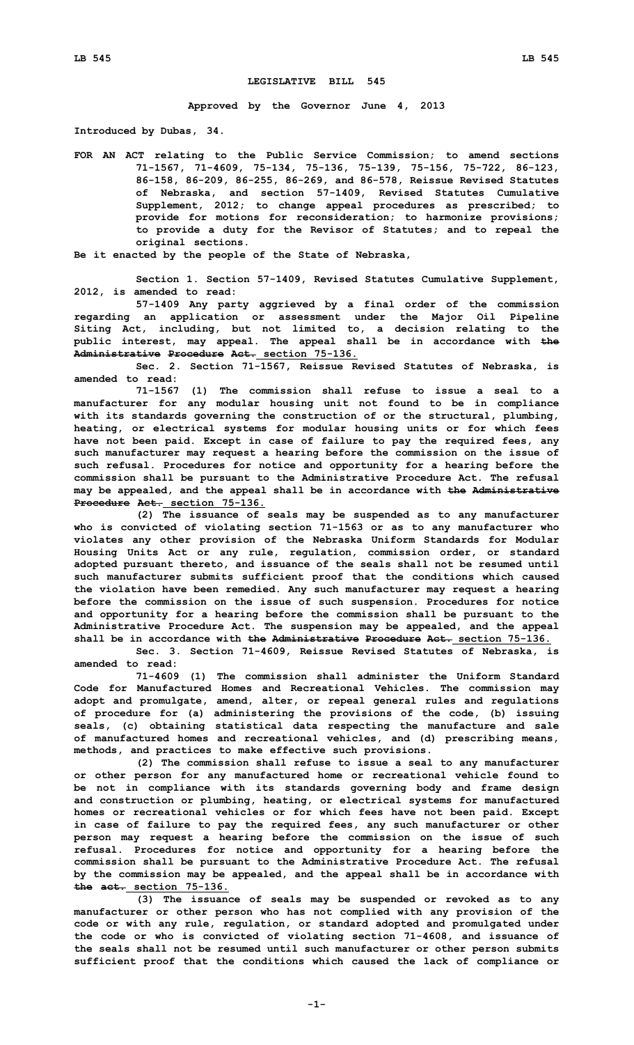## **LEGISLATIVE BILL 545**

**Approved by the Governor June 4, 2013**

**Introduced by Dubas, 34.**

**FOR AN ACT relating to the Public Service Commission; to amend sections 71-1567, 71-4609, 75-134, 75-136, 75-139, 75-156, 75-722, 86-123, 86-158, 86-209, 86-255, 86-269, and 86-578, Reissue Revised Statutes of Nebraska, and section 57-1409, Revised Statutes Cumulative Supplement, 2012; to change appeal procedures as prescribed; to provide for motions for reconsideration; to harmonize provisions; to provide <sup>a</sup> duty for the Revisor of Statutes; and to repeal the original sections.**

**Be it enacted by the people of the State of Nebraska,**

**Section 1. Section 57-1409, Revised Statutes Cumulative Supplement, 2012, is amended to read:**

**57-1409 Any party aggrieved by <sup>a</sup> final order of the commission regarding an application or assessment under the Major Oil Pipeline Siting Act, including, but not limited to, <sup>a</sup> decision relating to the public interest, may appeal. The appeal shall be in accordance with the Administrative Procedure Act. section 75-136.**

**Sec. 2. Section 71-1567, Reissue Revised Statutes of Nebraska, is amended to read:**

**71-1567 (1) The commission shall refuse to issue <sup>a</sup> seal to <sup>a</sup> manufacturer for any modular housing unit not found to be in compliance with its standards governing the construction of or the structural, plumbing, heating, or electrical systems for modular housing units or for which fees have not been paid. Except in case of failure to pay the required fees, any such manufacturer may request <sup>a</sup> hearing before the commission on the issue of such refusal. Procedures for notice and opportunity for <sup>a</sup> hearing before the commission shall be pursuant to the Administrative Procedure Act. The refusal may be appealed, and the appeal shall be in accordance with the Administrative Procedure Act. section 75-136.**

**(2) The issuance of seals may be suspended as to any manufacturer who is convicted of violating section 71-1563 or as to any manufacturer who violates any other provision of the Nebraska Uniform Standards for Modular Housing Units Act or any rule, regulation, commission order, or standard adopted pursuant thereto, and issuance of the seals shall not be resumed until such manufacturer submits sufficient proof that the conditions which caused the violation have been remedied. Any such manufacturer may request <sup>a</sup> hearing before the commission on the issue of such suspension. Procedures for notice and opportunity for <sup>a</sup> hearing before the commission shall be pursuant to the Administrative Procedure Act. The suspension may be appealed, and the appeal shall be in accordance with the Administrative Procedure Act. section 75-136.**

**Sec. 3. Section 71-4609, Reissue Revised Statutes of Nebraska, is amended to read:**

**71-4609 (1) The commission shall administer the Uniform Standard Code for Manufactured Homes and Recreational Vehicles. The commission may adopt and promulgate, amend, alter, or repeal general rules and regulations of procedure for (a) administering the provisions of the code, (b) issuing seals, (c) obtaining statistical data respecting the manufacture and sale of manufactured homes and recreational vehicles, and (d) prescribing means, methods, and practices to make effective such provisions.**

**(2) The commission shall refuse to issue <sup>a</sup> seal to any manufacturer or other person for any manufactured home or recreational vehicle found to be not in compliance with its standards governing body and frame design and construction or plumbing, heating, or electrical systems for manufactured homes or recreational vehicles or for which fees have not been paid. Except in case of failure to pay the required fees, any such manufacturer or other person may request <sup>a</sup> hearing before the commission on the issue of such refusal. Procedures for notice and opportunity for <sup>a</sup> hearing before the commission shall be pursuant to the Administrative Procedure Act. The refusal by the commission may be appealed, and the appeal shall be in accordance with the act. section 75-136.**

**(3) The issuance of seals may be suspended or revoked as to any manufacturer or other person who has not complied with any provision of the code or with any rule, regulation, or standard adopted and promulgated under the code or who is convicted of violating section 71-4608, and issuance of the seals shall not be resumed until such manufacturer or other person submits sufficient proof that the conditions which caused the lack of compliance or**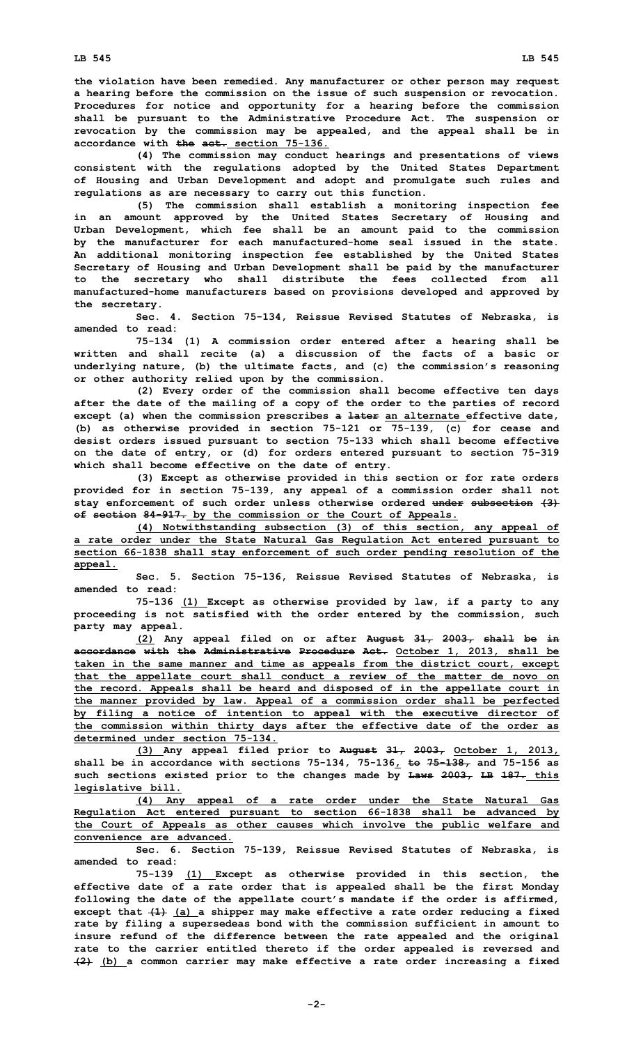**the violation have been remedied. Any manufacturer or other person may request <sup>a</sup> hearing before the commission on the issue of such suspension or revocation. Procedures for notice and opportunity for <sup>a</sup> hearing before the commission shall be pursuant to the Administrative Procedure Act. The suspension or revocation by the commission may be appealed, and the appeal shall be in accordance with the act. section 75-136.**

**(4) The commission may conduct hearings and presentations of views consistent with the regulations adopted by the United States Department of Housing and Urban Development and adopt and promulgate such rules and regulations as are necessary to carry out this function.**

**(5) The commission shall establish <sup>a</sup> monitoring inspection fee in an amount approved by the United States Secretary of Housing and Urban Development, which fee shall be an amount paid to the commission by the manufacturer for each manufactured-home seal issued in the state. An additional monitoring inspection fee established by the United States Secretary of Housing and Urban Development shall be paid by the manufacturer to the secretary who shall distribute the fees collected from all manufactured-home manufacturers based on provisions developed and approved by the secretary.**

**Sec. 4. Section 75-134, Reissue Revised Statutes of Nebraska, is amended to read:**

**75-134 (1) <sup>A</sup> commission order entered after <sup>a</sup> hearing shall be written and shall recite (a) <sup>a</sup> discussion of the facts of <sup>a</sup> basic or underlying nature, (b) the ultimate facts, and (c) the commission's reasoning or other authority relied upon by the commission.**

**(2) Every order of the commission shall become effective ten days after the date of the mailing of <sup>a</sup> copy of the order to the parties of record except (a) when the commission prescribes <sup>a</sup> later an alternate effective date, (b) as otherwise provided in section 75-121 or 75-139, (c) for cease and desist orders issued pursuant to section 75-133 which shall become effective on the date of entry, or (d) for orders entered pursuant to section 75-319 which shall become effective on the date of entry.**

**(3) Except as otherwise provided in this section or for rate orders provided for in section 75-139, any appeal of <sup>a</sup> commission order shall not stay enforcement of such order unless otherwise ordered under subsection (3) of section 84-917. by the commission or the Court of Appeals.**

**(4) Notwithstanding subsection (3) of this section, any appeal of <sup>a</sup> rate order under the State Natural Gas Regulation Act entered pursuant to section 66-1838 shall stay enforcement of such order pending resolution of the appeal.**

**Sec. 5. Section 75-136, Reissue Revised Statutes of Nebraska, is amended to read:**

**75-136 (1) Except as otherwise provided by law, if <sup>a</sup> party to any proceeding is not satisfied with the order entered by the commission, such party may appeal.**

**(2) Any appeal filed on or after August 31, 2003, shall be in accordance with the Administrative Procedure Act. October 1, 2013, shall be taken in the same manner and time as appeals from the district court, except that the appellate court shall conduct <sup>a</sup> review of the matter de novo on the record. Appeals shall be heard and disposed of in the appellate court in the manner provided by law. Appeal of <sup>a</sup> commission order shall be perfected by filing <sup>a</sup> notice of intention to appeal with the executive director of the commission within thirty days after the effective date of the order as determined under section 75-134.**

**(3) Any appeal filed prior to August 31, 2003, October 1, 2013, shall be in accordance with sections 75-134, 75-136, to 75-138, and 75-156 as such sections existed prior to the changes made by Laws 2003, LB 187. this legislative bill.**

**(4) Any appeal of <sup>a</sup> rate order under the State Natural Gas Regulation Act entered pursuant to section 66-1838 shall be advanced by the Court of Appeals as other causes which involve the public welfare and convenience are advanced.**

**Sec. 6. Section 75-139, Reissue Revised Statutes of Nebraska, is amended to read:**

**75-139 (1) Except as otherwise provided in this section, the effective date of <sup>a</sup> rate order that is appealed shall be the first Monday following the date of the appellate court's mandate if the order is affirmed, except that (1) (a) <sup>a</sup> shipper may make effective <sup>a</sup> rate order reducing <sup>a</sup> fixed rate by filing <sup>a</sup> supersedeas bond with the commission sufficient in amount to insure refund of the difference between the rate appealed and the original rate to the carrier entitled thereto if the order appealed is reversed and (2) (b) <sup>a</sup> common carrier may make effective <sup>a</sup> rate order increasing <sup>a</sup> fixed**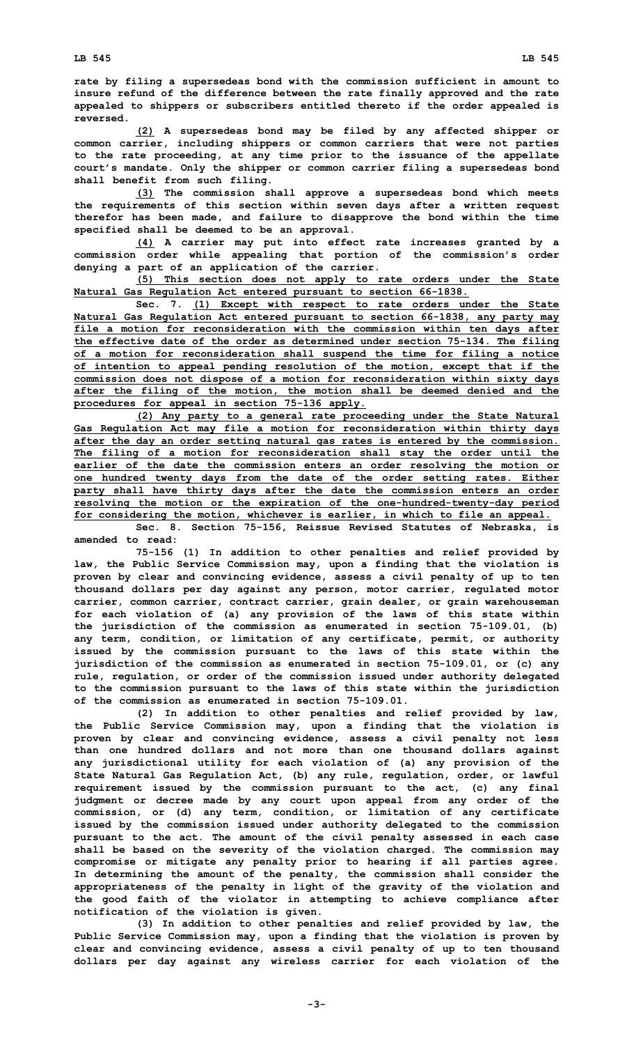**rate by filing <sup>a</sup> supersedeas bond with the commission sufficient in amount to insure refund of the difference between the rate finally approved and the rate appealed to shippers or subscribers entitled thereto if the order appealed is reversed.**

**(2) <sup>A</sup> supersedeas bond may be filed by any affected shipper or common carrier, including shippers or common carriers that were not parties to the rate proceeding, at any time prior to the issuance of the appellate court's mandate. Only the shipper or common carrier filing <sup>a</sup> supersedeas bond shall benefit from such filing.**

**(3) The commission shall approve <sup>a</sup> supersedeas bond which meets the requirements of this section within seven days after <sup>a</sup> written request therefor has been made, and failure to disapprove the bond within the time specified shall be deemed to be an approval.**

**(4) <sup>A</sup> carrier may put into effect rate increases granted by <sup>a</sup> commission order while appealing that portion of the commission's order denying <sup>a</sup> part of an application of the carrier.**

**(5) This section does not apply to rate orders under the State Natural Gas Regulation Act entered pursuant to section 66-1838.**

**Sec. 7. (1) Except with respect to rate orders under the State Natural Gas Regulation Act entered pursuant to section 66-1838, any party may file <sup>a</sup> motion for reconsideration with the commission within ten days after the effective date of the order as determined under section 75-134. The filing of <sup>a</sup> motion for reconsideration shall suspend the time for filing <sup>a</sup> notice of intention to appeal pending resolution of the motion, except that if the commission does not dispose of <sup>a</sup> motion for reconsideration within sixty days after the filing of the motion, the motion shall be deemed denied and the procedures for appeal in section 75-136 apply.**

**(2) Any party to <sup>a</sup> general rate proceeding under the State Natural Gas Regulation Act may file <sup>a</sup> motion for reconsideration within thirty days after the day an order setting natural gas rates is entered by the commission. The filing of <sup>a</sup> motion for reconsideration shall stay the order until the earlier of the date the commission enters an order resolving the motion or one hundred twenty days from the date of the order setting rates. Either party shall have thirty days after the date the commission enters an order resolving the motion or the expiration of the one-hundred-twenty-day period for considering the motion, whichever is earlier, in which to file an appeal.**

**Sec. 8. Section 75-156, Reissue Revised Statutes of Nebraska, is amended to read:**

**75-156 (1) In addition to other penalties and relief provided by law, the Public Service Commission may, upon <sup>a</sup> finding that the violation is proven by clear and convincing evidence, assess <sup>a</sup> civil penalty of up to ten thousand dollars per day against any person, motor carrier, regulated motor carrier, common carrier, contract carrier, grain dealer, or grain warehouseman for each violation of (a) any provision of the laws of this state within the jurisdiction of the commission as enumerated in section 75-109.01, (b) any term, condition, or limitation of any certificate, permit, or authority issued by the commission pursuant to the laws of this state within the jurisdiction of the commission as enumerated in section 75-109.01, or (c) any rule, regulation, or order of the commission issued under authority delegated to the commission pursuant to the laws of this state within the jurisdiction of the commission as enumerated in section 75-109.01.**

**(2) In addition to other penalties and relief provided by law, the Public Service Commission may, upon <sup>a</sup> finding that the violation is proven by clear and convincing evidence, assess <sup>a</sup> civil penalty not less than one hundred dollars and not more than one thousand dollars against any jurisdictional utility for each violation of (a) any provision of the State Natural Gas Regulation Act, (b) any rule, regulation, order, or lawful requirement issued by the commission pursuant to the act, (c) any final judgment or decree made by any court upon appeal from any order of the commission, or (d) any term, condition, or limitation of any certificate issued by the commission issued under authority delegated to the commission pursuant to the act. The amount of the civil penalty assessed in each case shall be based on the severity of the violation charged. The commission may compromise or mitigate any penalty prior to hearing if all parties agree. In determining the amount of the penalty, the commission shall consider the appropriateness of the penalty in light of the gravity of the violation and the good faith of the violator in attempting to achieve compliance after notification of the violation is given.**

**(3) In addition to other penalties and relief provided by law, the Public Service Commission may, upon <sup>a</sup> finding that the violation is proven by clear and convincing evidence, assess <sup>a</sup> civil penalty of up to ten thousand dollars per day against any wireless carrier for each violation of the**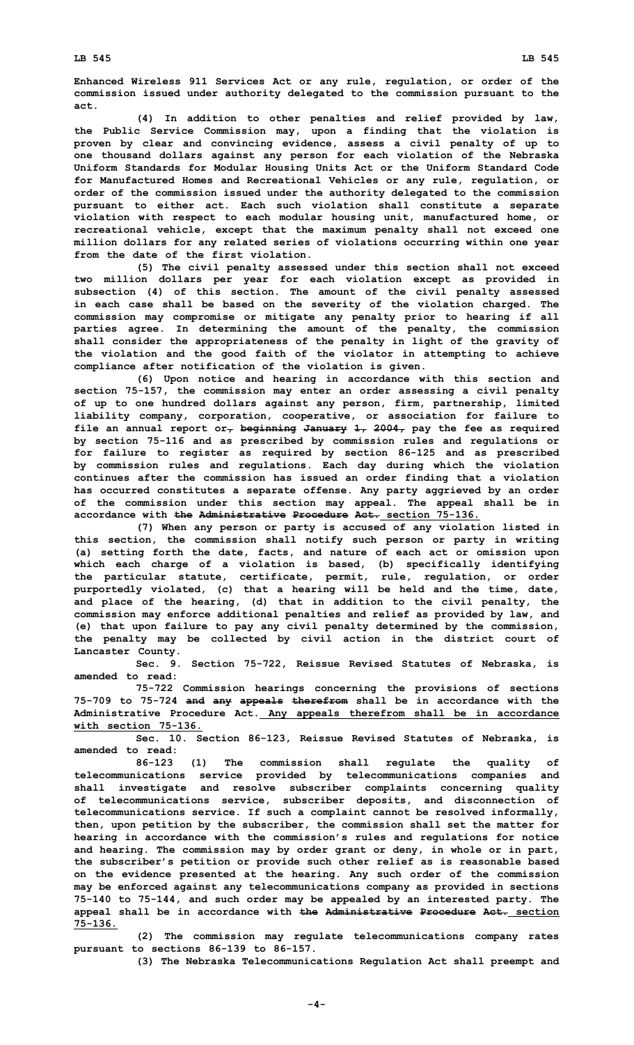**Enhanced Wireless 911 Services Act or any rule, regulation, or order of the commission issued under authority delegated to the commission pursuant to the act.**

**(4) In addition to other penalties and relief provided by law, the Public Service Commission may, upon <sup>a</sup> finding that the violation is proven by clear and convincing evidence, assess <sup>a</sup> civil penalty of up to one thousand dollars against any person for each violation of the Nebraska Uniform Standards for Modular Housing Units Act or the Uniform Standard Code for Manufactured Homes and Recreational Vehicles or any rule, regulation, or order of the commission issued under the authority delegated to the commission pursuant to either act. Each such violation shall constitute <sup>a</sup> separate violation with respect to each modular housing unit, manufactured home, or recreational vehicle, except that the maximum penalty shall not exceed one million dollars for any related series of violations occurring within one year from the date of the first violation.**

**(5) The civil penalty assessed under this section shall not exceed two million dollars per year for each violation except as provided in subsection (4) of this section. The amount of the civil penalty assessed in each case shall be based on the severity of the violation charged. The commission may compromise or mitigate any penalty prior to hearing if all parties agree. In determining the amount of the penalty, the commission shall consider the appropriateness of the penalty in light of the gravity of the violation and the good faith of the violator in attempting to achieve compliance after notification of the violation is given.**

**(6) Upon notice and hearing in accordance with this section and section 75-157, the commission may enter an order assessing <sup>a</sup> civil penalty of up to one hundred dollars against any person, firm, partnership, limited liability company, corporation, cooperative, or association for failure to file an annual report or, beginning January 1, 2004, pay the fee as required by section 75-116 and as prescribed by commission rules and regulations or for failure to register as required by section 86-125 and as prescribed by commission rules and regulations. Each day during which the violation continues after the commission has issued an order finding that <sup>a</sup> violation has occurred constitutes <sup>a</sup> separate offense. Any party aggrieved by an order of the commission under this section may appeal. The appeal shall be in accordance with the Administrative Procedure Act. section 75-136.**

**(7) When any person or party is accused of any violation listed in this section, the commission shall notify such person or party in writing (a) setting forth the date, facts, and nature of each act or omission upon which each charge of <sup>a</sup> violation is based, (b) specifically identifying the particular statute, certificate, permit, rule, regulation, or order purportedly violated, (c) that <sup>a</sup> hearing will be held and the time, date, and place of the hearing, (d) that in addition to the civil penalty, the commission may enforce additional penalties and relief as provided by law, and (e) that upon failure to pay any civil penalty determined by the commission, the penalty may be collected by civil action in the district court of Lancaster County.**

**Sec. 9. Section 75-722, Reissue Revised Statutes of Nebraska, is amended to read:**

**75-722 Commission hearings concerning the provisions of sections 75-709 to 75-724 and any appeals therefrom shall be in accordance with the Administrative Procedure Act. Any appeals therefrom shall be in accordance with section 75-136.**

**Sec. 10. Section 86-123, Reissue Revised Statutes of Nebraska, is amended to read:**

**86-123 (1) The commission shall regulate the quality of telecommunications service provided by telecommunications companies and shall investigate and resolve subscriber complaints concerning quality of telecommunications service, subscriber deposits, and disconnection of telecommunications service. If such <sup>a</sup> complaint cannot be resolved informally, then, upon petition by the subscriber, the commission shall set the matter for hearing in accordance with the commission's rules and regulations for notice and hearing. The commission may by order grant or deny, in whole or in part, the subscriber's petition or provide such other relief as is reasonable based on the evidence presented at the hearing. Any such order of the commission may be enforced against any telecommunications company as provided in sections 75-140 to 75-144, and such order may be appealed by an interested party. The appeal shall be in accordance with the Administrative Procedure Act. section 75-136.**

**(2) The commission may regulate telecommunications company rates pursuant to sections 86-139 to 86-157.**

**(3) The Nebraska Telecommunications Regulation Act shall preempt and**